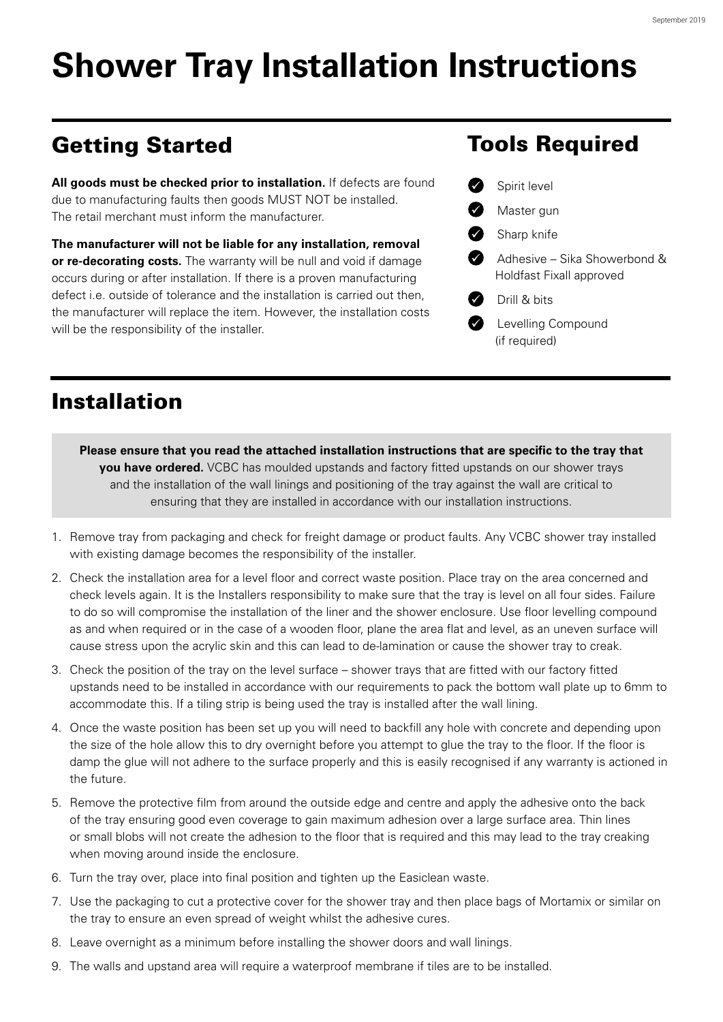# **Shower Tray Installation Instructions**

# Getting Started

**All goods must be checked prior to installation.** If defects are found due to manufacturing faults then goods MUST NOT be installed. The retail merchant must inform the manufacturer.

**The manufacturer will not be liable for any installation, removal or re-decorating costs.** The warranty will be null and void if damage occurs during or after installation. If there is a proven manufacturing defect i.e. outside of tolerance and the installation is carried out then, the manufacturer will replace the item. However, the installation costs will be the responsibility of the installer.

# Tools Required

|           | Spirit level                                             |
|-----------|----------------------------------------------------------|
| $\bullet$ | Master gun                                               |
|           | Sharp knife                                              |
|           | Adhesive – Sika Showerbond &<br>Holdfast Fixall approved |
|           | Drill & bits                                             |
|           | Levelling Compound<br>(if required)                      |

# Installation

**Please ensure that you read the attached installation instructions that are specific to the tray that you have ordered.** VCBC has moulded upstands and factory fitted upstands on our shower trays and the installation of the wall linings and positioning of the tray against the wall are critical to ensuring that they are installed in accordance with our installation instructions.

- 1. Remove tray from packaging and check for freight damage or product faults. Any VCBC shower tray installed with existing damage becomes the responsibility of the installer.
- 2. Check the installation area for a level floor and correct waste position. Place tray on the area concerned and check levels again. It is the Installers responsibility to make sure that the tray is level on all four sides. Failure to do so will compromise the installation of the liner and the shower enclosure. Use floor levelling compound as and when required or in the case of a wooden floor, plane the area flat and level, as an uneven surface will cause stress upon the acrylic skin and this can lead to de-lamination or cause the shower tray to creak.
- 3. Check the position of the tray on the level surface shower trays that are fitted with our factory fitted upstands need to be installed in accordance with our requirements to pack the bottom wall plate up to 6mm to accommodate this. If a tiling strip is being used the tray is installed after the wall lining.
- 4. Once the waste position has been set up you will need to backfill any hole with concrete and depending upon the size of the hole allow this to dry overnight before you attempt to glue the tray to the floor. If the floor is damp the glue will not adhere to the surface properly and this is easily recognised if any warranty is actioned in the future.
- 5. Remove the protective film from around the outside edge and centre and apply the adhesive onto the back of the tray ensuring good even coverage to gain maximum adhesion over a large surface area. Thin lines or small blobs will not create the adhesion to the floor that is required and this may lead to the tray creaking when moving around inside the enclosure.
- 6. Turn the tray over, place into final position and tighten up the Easiclean waste.
- 7. Use the packaging to cut a protective cover for the shower tray and then place bags of Mortamix or similar on the tray to ensure an even spread of weight whilst the adhesive cures.
- 8. Leave overnight as a minimum before installing the shower doors and wall linings.
- 9. The walls and upstand area will require a waterproof membrane if tiles are to be installed.